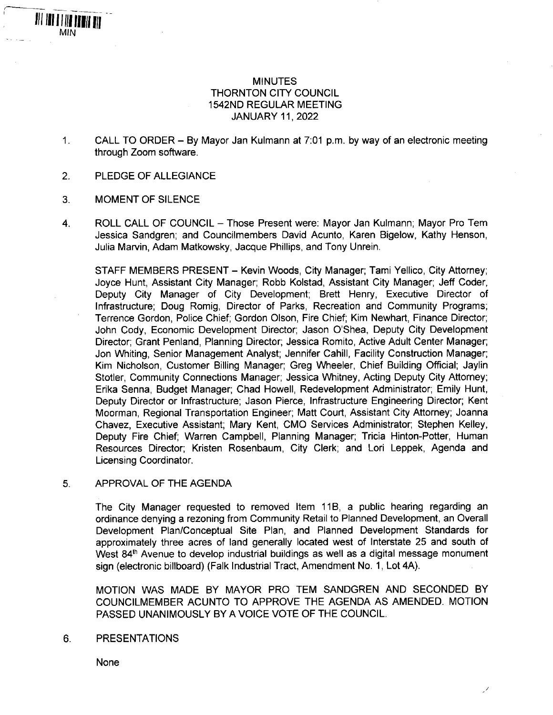# MINUTES THORNTON CITY COUNCIL 1542ND REGULAR MEETING JANUARY 11, 2022

- **1.** CALL TO ORDER - By Mayor Jan Kulmann at 7:01 p.m. by way of an electronic meeting through Zoom software.
- 2. PLEDGE OF ALLEGIANCE
- 3. MOMENT OF SILENCE

**MIN** 

All iai a lita bann an

4. ROLL CALL OF COUNCIL - Those Present were: Mayor Jan Kulmann; Mayor Pro Tem Jessica Sandgren; and Councilmembers David Acunto, Karen Bigelow, Kathy Henson, Julia Marvin, Adam Matkowsky, Jacque Phillips, and Tony Unrein.

STAFF MEMBERS PRESENT - Kevin Woods, City Manager; Tami Yellico, City Attorney; Joyce Hunt, Assistant City Manager; Robb Kolstad, Assistant City Manager; Jeff Coder, Deputy City Manager of City Development; Brett Henry, Executive Director of Infrastructure; Doug Romig, Director of Parks, Recreation and Community Programs; Terrence Gordon, Police Chief; Gordon Olson, Fire Chief; Kim Newhart, Finance Director; John Cody, Economic Development Director; Jason O'Shea, Deputy City Development Director; Grant Penland, Planning Director; Jessica Romito, Active Adult Center Manager; Jon Whiting, Senior Management Analyst; Jennifer Cahill, Facility Construction Manager; Kim Nicholson, Customer Billing Manager; Greg Wheeler, Chief Building Official; Jaylin Stotler, Community Connections Manager; Jessica Whitney, Acting Deputy City Attorney; Erika Senna, Budget Manager; Chad Howell, Redevelopment Administrator; Emily Hunt, Deputy Director or Infrastructure; Jason Pierce, Infrastructure Engineering Director; Kent Moorman, Regional Transportation Engineer; Matt Court, Assistant City Attorney; Joanna Chavez, Executive Assistant; Mary Kent, CMO Services Administrator; Stephen Kelley, Deputy Fire Chief; Warren Campbell, Planning Manager; Tricia Hinton-Potter, Human Resources Director; Kristen Rosenbaum, City Clerk; and Lori Leppek, Agenda and Licensing Coordinator.

5. APPROVAL OF THE AGENDA

The City Manager requested to removed Item 11B, a public hearing regarding an ordinance denying a rezoning from Community Retail to Planned Development, an Overall Development Plan/Conceptual Site Plan, and Planned Development Standards for approximately three acres of land generally located west of Interstate 25 and south of West 84<sup>th</sup> Avenue to develop industrial buildings as well as a digital message monument sign (electronic billboard) (Falk Industrial Tract, Amendment No. 1, Lot 4A).

MOTION WAS MADE BY MAYOR PRO TEM SANDGREN AND SECONDED BY COUNCILMEMBER ACUNTO TO APPROVE THE AGENDA AS AMENDED. MOTION PASSED UNANIMOUSLY BY A VOICE VOTE OF THE COUNCIL.

6. PRESENTATIONS

None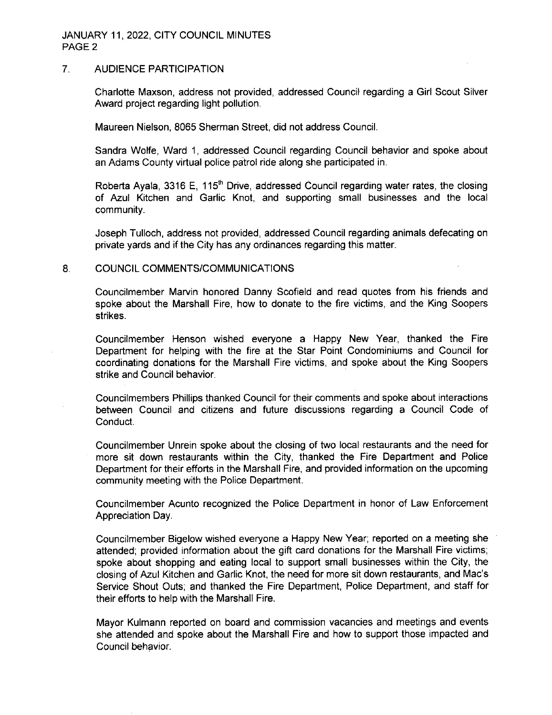## JANUARY 11, 2022, CITY COUNCIL MINUTES PAGE 2

#### 7. AUDIENCE PARTICIPATION

Charlotte Maxson, address not provided, addressed Council regarding a Girl Scout Silver Award project regarding light pollution.

Maureen Nielson, 8065 Sherman Street, did not address Council.

Sandra Wolfe, Ward 1, addressed Council regarding Council behavior and spoke about an Adams County virtual police patrol ride along she participated in.

Roberta Ayala, 3316 E, 115<sup>th</sup> Drive, addressed Council regarding water rates, the closing of Azul Kitchen and Garlic Knot, and supporting small businesses and the local community.

Joseph Tulloch, address not provided, addressed Council regarding animals defecating on private yards and if the City has any ordinances regarding this matter.

#### 8. COUNCIL COMMENTS/COMMUNICATIONS

Councilmember Marvin honored Danny Scofield and read quotes from his friends and spoke about the Marshall Fire, how to donate to the fire victims, and the King Soopers strikes.

Councilmember Henson wished everyone a Happy New Year, thanked the Fire Department for helping with the fire at the Star Point Condominiums and Council for coordinating donations for the Marshall Fire victims, and spoke about the King Soopers strike and Council behavior.

Councilmembers Phillips thanked Council for their comments and spoke about interactions between Council and citizens and future discussions regarding a Council Code of Conduct.

Councilmember Unrein spoke about the closing of two local restaurants and the need for more sit down restaurants within the City, thanked the Fire Department and Police Department for their efforts in the Marshall Fire, and provided information on the upcoming community meeting with the Police Department.

Councilmember Acunto recognized the Police Department in honor of Law Enforcement Appreciation Day.

Councilmember Bigelow wished everyone a Happy New Year; reported on a meeting she attended; provided information about the gift card donations for the Marshall Fire victims; spoke about shopping and eating local to support small businesses within the City, the closing of Azul Kitchen and Garlic Knot, the need for more sit down restaurants, and Mac's Service Shout Outs; and thanked the Fire Department, Police Department, and staff for their efforts to help with the Marshall Fire.

Mayor Kulmann reported on board and commission vacancies and meetings and events she attended and spoke about the Marshall Fire and how to support those impacted and Council behavior.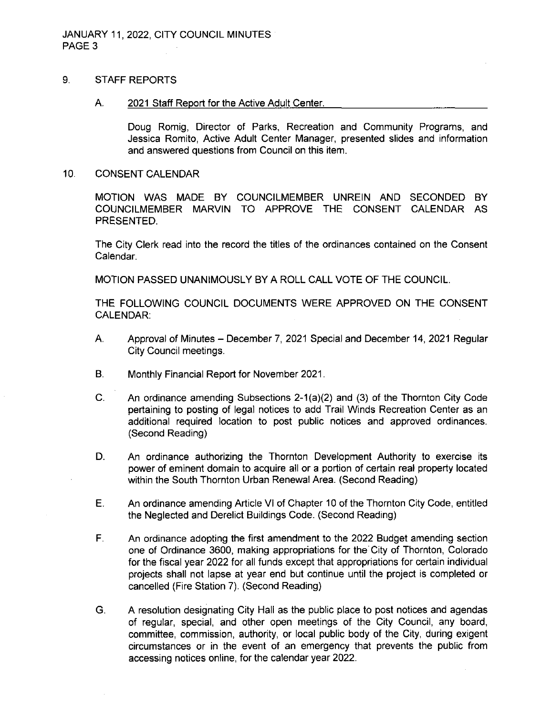### 9. STAFF REPORTS

#### A. 2021 Staff Report for the Active Adult Center.

Doug Romig, Director of Parks, Recreation and Community Programs, and Jessica Romito, Active Adult Center Manager, presented slides and information and answered questions from Council on this item.

#### 10. CONSENT CALENDAR

MOTION WAS MADE BY COUNCILMEMBER UNREIN AND SECONDED BY COUNCILMEMBER MARVIN TO APPROVE THE CONSENT CALENDAR AS PRESENTED.

The City Clerk read into the record the titles of the ordinances contained on the Consent Calendar.

MOTION PASSED UNANIMOUSLY BY A ROLL CALL VOTE OF THE COUNCIL.

THE FOLLOWING COUNCIL DOCUMENTS WERE APPROVED ON THE CONSENT CALENDAR:

- A. Approval of Minutes December 7, <sup>2021</sup> Special and December 14, <sup>2021</sup> Regular City Council meetings.
- B. Monthly Financial Report for November 2021.
- C. An ordinance amending Subsections 2-1 (a)(2) and (3) of the Thornton City Code pertaining to posting of legal notices to add Trail Winds Recreation Center as an additional required location to post public notices and approved ordinances. (Second Reading)
- D. An ordinance authorizing the Thornton Development Authority to exercise its power of eminent domain to acquire all or a portion of certain real property located within the South Thornton Urban Renewal Area. (Second Reading)
- E. An ordinance amending Article VI of Chapter 10 of the Thornton City Code, entitled the Neglected and Derelict Buildings Code. (Second Reading)
- F. An ordinance adopting the first amendment to the 2022 Budget amending section one of Ordinance 3600, making appropriations for the City of Thornton, Colorado for the fiscal year 2022 for all funds except that appropriations for certain individual projects shall not lapse at year end but continue until the project is completed or cancelled (Fire Station 7). (Second Reading)
- G. A resolution designating City Hall as the public place to post notices and agendas of regular, special, and other open meetings of the City Council, any board, committee, commission, authority, or local public body of the City, during exigent circumstances or in the event of an emergency that prevents the public from accessing notices online, for the calendar year 2022.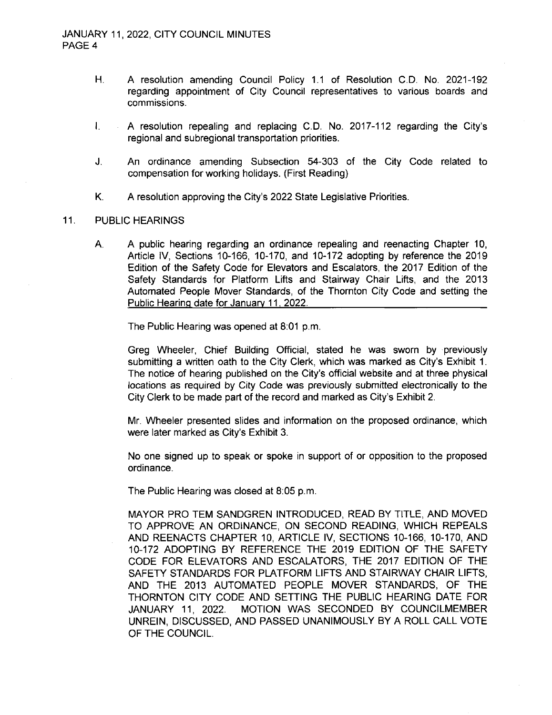- H. A resolution amending Council Policy 1.1 of Resolution C.D. No. 2021-192 regarding appointment of City Council representatives to various boards and commissions.
- I. A resolution repealing and replacing C.D. No. 2017-112 regarding the City's regional and subregional transportation priorities.
- J. An ordinance amending Subsection 54-303 of the City Code related to compensation for working holidays. (First Reading)
- K. A resolution approving the City's 2022 State Legislative Priorities.

## 11. PUBLIC HEARINGS

A. A public hearing regarding an ordinance repealing and reenacting Chapter 10, Article IV, Sections 10-166, 10-170, and 10-172 adopting by reference the 2019 Edition of the Safety Code for Elevators and Escalators, the 2017 Edition of the Safety Standards for Platform Lifts and Stainway Chair Lifts, and the 2013 Automated People Mover Standards, of the Thornton City Code and setting the Public Hearing date for January 11, 2022.

The Public Hearing was opened at 8:01 p.m.

Greg Wheeler, Chief Building Official, stated he was sworn by previously submitting a written oath to the City Clerk, which was marked as City's Exhibit 1. The notice of hearing published on the City's official website and at three physical locations as required by City Code was previously submitted electronically to the City Clerk to be made part of the record and marked as City's Exhibit 2.

Mr. Wheeler presented slides and information on the proposed ordinance, which were later marked as City's Exhibit 3.

No one signed up to speak or spoke in support of or opposition to the proposed ordinance.

The Public Hearing was closed at 8:05 p.m.

MAYOR PRO TEM SANDGREN INTRODUCED, READ BY TITLE, AND MOVED TO APPROVE AN ORDINANCE, ON SECOND READING, WHICH REPEALS AND REENACTS CHAPTER 10, ARTICLE IV, SECTIONS 10-166, 10-170, AND 10-172 ADOPTING BY REFERENCE THE 2019 EDITION OF THE SAFETY CODE FOR ELEVATORS AND ESCALATORS, THE 2017 EDITION OF THE SAFETY STANDARDS FOR PLATFORM LIFTS AND STAIRWAY CHAIR LIFTS, AND THE 2013 AUTOMATED PEOPLE MOVER STANDARDS, OF THE THORNTON CITY CODE AND SETTING THE PUBLIC HEARING DATE FOR JANUARY 11, 2022. MOTION WAS SECONDED BY COUNCILMEMBER UNREIN, DISCUSSED, AND PASSED UNANIMOUSLY BY A ROLL CALL VOTE OF THE COUNCIL.